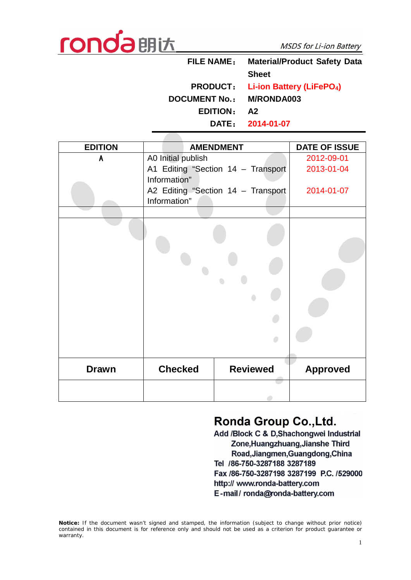

| <b>FILE NAME:</b>    | <b>Material/Product Safety Data</b>                   |  |  |
|----------------------|-------------------------------------------------------|--|--|
|                      | <b>Sheet</b>                                          |  |  |
|                      | <b>PRODUCT:</b> Li-ion Battery (LiFePO <sub>4</sub> ) |  |  |
| <b>DOCUMENT No.:</b> | <b>M/RONDA003</b>                                     |  |  |
| <b>EDITION:</b>      | A2                                                    |  |  |
|                      | DATE: 2014-01-07                                      |  |  |

| <b>EDITION</b> |                    | <b>AMENDMENT</b>                   | <b>DATE OF ISSUE</b> |
|----------------|--------------------|------------------------------------|----------------------|
| A              | A0 Initial publish |                                    | 2012-09-01           |
|                |                    | A1 Editing "Section 14 - Transport | 2013-01-04           |
|                | Information"       |                                    |                      |
|                |                    | A2 Editing "Section 14 - Transport | 2014-01-07           |
|                | Information"       |                                    |                      |
|                |                    |                                    |                      |
|                |                    |                                    |                      |
| <b>Drawn</b>   | <b>Checked</b>     | <b>Reviewed</b>                    | <b>Approved</b>      |
|                |                    |                                    |                      |

## Ronda Group Co., Ltd.

Add /Block C & D, Shachongwei Industrial Zone, Huangzhuang, Jianshe Third Road, Jiangmen, Guangdong, China Tel /86-750-3287188 3287189 Fax /86-750-3287198 3287199 P.C. /529000 http:// www.ronda-battery.com E-mail/ronda@ronda-battery.com

**Notice:** *If the document wasn't signed and stamped, the information (subject to change without prior notice) contained in this document is for reference only and should not be used as a criterion for product guarantee or warranty.*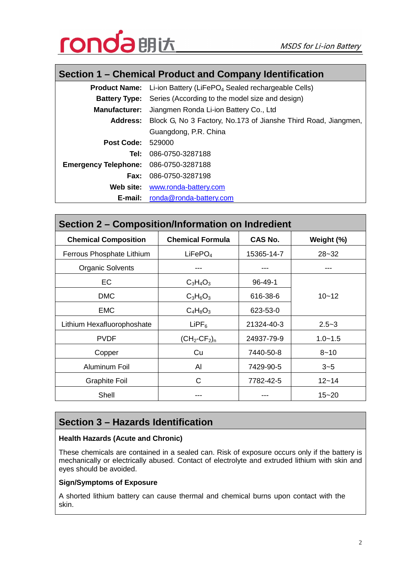

## **Section 1 – Chemical Product and Company Identification**

|                                              | <b>Product Name:</b> Li-ion Battery (LiFePO <sub>4</sub> Sealed rechargeable Cells) |  |  |
|----------------------------------------------|-------------------------------------------------------------------------------------|--|--|
|                                              | <b>Battery Type:</b> Series (According to the model size and design)                |  |  |
|                                              | <b>Manufacturer:</b> Jiangmen Ronda Li-ion Battery Co., Ltd                         |  |  |
|                                              | <b>Address:</b> Block G, No 3 Factory, No.173 of Jianshe Third Road, Jiangmen,      |  |  |
|                                              | Guangdong, P.R. China                                                               |  |  |
| <b>Post Code: 529000</b>                     |                                                                                     |  |  |
| Tel:                                         | 086-0750-3287188                                                                    |  |  |
| <b>Emergency Telephone: 086-0750-3287188</b> |                                                                                     |  |  |
|                                              | <b>Fax: 086-0750-3287198</b>                                                        |  |  |
| Web site:                                    | www.ronda-battery.com                                                               |  |  |
| E-mail:                                      | ronda@ronda-battery.com                                                             |  |  |

| Section 2 – Composition/Information on Indredient |                                         |                |             |  |  |  |
|---------------------------------------------------|-----------------------------------------|----------------|-------------|--|--|--|
| <b>Chemical Composition</b>                       | <b>Chemical Formula</b>                 | <b>CAS No.</b> | Weight (%)  |  |  |  |
| Ferrous Phosphate Lithium                         | LiFePO <sub>4</sub>                     | 15365-14-7     | $28 - 32$   |  |  |  |
| <b>Organic Solvents</b>                           |                                         |                |             |  |  |  |
| EC                                                | $C_3H_4O_3$                             | $96 - 49 - 1$  |             |  |  |  |
| <b>DMC</b>                                        | $C_3H_6O_3$                             | 616-38-6       | $10 - 12$   |  |  |  |
| <b>EMC</b>                                        | $C_4H_8O_3$                             | 623-53-0       |             |  |  |  |
| Lithium Hexafluorophoshate                        | $L$ iPF $_6$                            | 21324-40-3     | $2.5 - 3$   |  |  |  |
| <b>PVDF</b>                                       | $(CH_2$ -CF <sub>2</sub> ) <sub>n</sub> | 24937-79-9     | $1.0 - 1.5$ |  |  |  |
| Copper                                            | Cu                                      | 7440-50-8      | $8 - 10$    |  |  |  |
| Aluminum Foil                                     | Al                                      | 7429-90-5      | $3 - 5$     |  |  |  |
| <b>Graphite Foil</b>                              | C                                       | 7782-42-5      | $12 - 14$   |  |  |  |
| Shell                                             | ---                                     | ---            | $15 - 20$   |  |  |  |

## **Section 3 – Hazards Identification**

## **Health Hazards (Acute and Chronic)**

These chemicals are contained in a sealed can. Risk of exposure occurs only if the battery is mechanically or electrically abused. Contact of electrolyte and extruded lithium with skin and eyes should be avoided.

#### **Sign/Symptoms of Exposure**

A shorted lithium battery can cause thermal and chemical burns upon contact with the skin.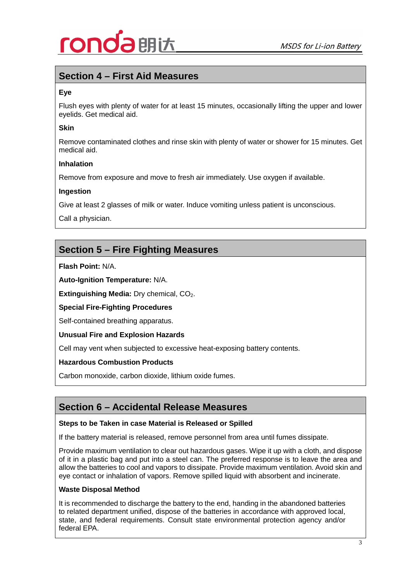# 朗认

## **Section 4 – First Aid Measures**

## **Eye**

Flush eyes with plenty of water for at least 15 minutes, occasionally lifting the upper and lower eyelids. Get medical aid.

### **Skin**

Remove contaminated clothes and rinse skin with plenty of water or shower for 15 minutes. Get medical aid.

#### **Inhalation**

Remove from exposure and move to fresh air immediately. Use oxygen if available.

#### **Ingestion**

Give at least 2 glasses of milk or water. Induce vomiting unless patient is unconscious.

Call a physician.

## **Section 5 – Fire Fighting Measures**

**Flash Point:** N/A.

**Auto-Ignition Temperature:** N/A.

**Extinguishing Media: Dry chemical, CO<sub>2</sub>.** 

**Special Fire-Fighting Procedures**

Self-contained breathing apparatus.

**Unusual Fire and Explosion Hazards**

Cell may vent when subjected to excessive heat-exposing battery contents.

## **Hazardous Combustion Products**

Carbon monoxide, carbon dioxide, lithium oxide fumes.

## **Section 6 – Accidental Release Measures**

#### **Steps to be Taken in case Material is Released or Spilled**

If the battery material is released, remove personnel from area until fumes dissipate.

Provide maximum ventilation to clear out hazardous gases. Wipe it up with a cloth, and dispose of it in a plastic bag and put into a steel can. The preferred response is to leave the area and allow the batteries to cool and vapors to dissipate. Provide maximum ventilation. Avoid skin and eye contact or inhalation of vapors. Remove spilled liquid with absorbent and incinerate.

#### **Waste Disposal Method**

It is recommended to discharge the battery to the end, handing in the abandoned batteries to related department unified, dispose of the batteries in accordance with approved local, state, and federal requirements. Consult state environmental protection agency and/or federal EPA.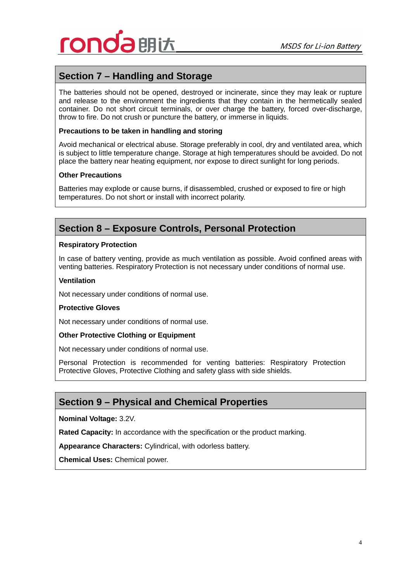

## **Section 7 – Handling and Storage**

The batteries should not be opened, destroyed or incinerate, since they may leak or rupture and release to the environment the ingredients that they contain in the hermetically sealed container. Do not short circuit terminals, or over charge the battery, forced over-discharge, throw to fire. Do not crush or puncture the battery, or immerse in liquids.

#### **Precautions to be taken in handling and storing**

Avoid mechanical or electrical abuse. Storage preferably in cool, dry and ventilated area, which is subject to little temperature change. Storage at high temperatures should be avoided. Do not place the battery near heating equipment, nor expose to direct sunlight for long periods.

#### **Other Precautions**

Batteries may explode or cause burns, if disassembled, crushed or exposed to fire or high temperatures. Do not short or install with incorrect polarity.

## **Section 8 – Exposure Controls, Personal Protection**

#### **Respiratory Protection**

In case of battery venting, provide as much ventilation as possible. Avoid confined areas with venting batteries. Respiratory Protection is not necessary under conditions of normal use.

#### **Ventilation**

Not necessary under conditions of normal use.

#### **Protective Gloves**

Not necessary under conditions of normal use.

#### **Other Protective Clothing or Equipment**

Not necessary under conditions of normal use.

Personal Protection is recommended for venting batteries: Respiratory Protection Protective Gloves, Protective Clothing and safety glass with side shields.

## **Section 9 – Physical and Chemical Properties**

**Nominal Voltage:** 3.2V.

**Rated Capacity:** In accordance with the specification or the product marking.

**Appearance Characters:** Cylindrical, with odorless battery.

**Chemical Uses:** Chemical power.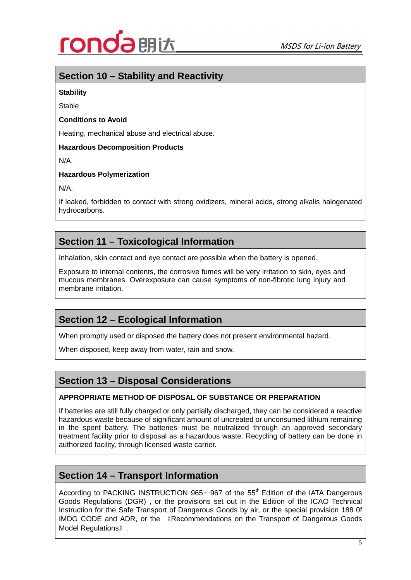

## **Section 10 – Stability and Reactivity**

## **Stability**

Stable

## **Conditions to Avoid**

Heating, mechanical abuse and electrical abuse.

### **Hazardous Decomposition Products**

N/A.

## **Hazardous Polymerization**

N/A.

If leaked, forbidden to contact with strong oxidizers, mineral acids, strong alkalis halogenated hydrocarbons.

## **Section 11 – Toxicological Information**

Inhalation, skin contact and eye contact are possible when the battery is opened.

Exposure to internal contents, the corrosive fumes will be very irritation to skin, eyes and mucous membranes. Overexposure can cause symptoms of non-fibrotic lung injury and membrane irritation.

## **Section 12 – Ecological Information**

When promptly used or disposed the battery does not present environmental hazard.

When disposed, keep away from water, rain and snow.

## **Section 13 – Disposal Considerations**

## **APPROPRIATE METHOD OF DISPOSAL OF SUBSTANCE OR PREPARATION**

If batteries are still fully charged or only partially discharged, they can be considered a reactive hazardous waste because of significant amount of uncreated or unconsumed lithium remaining in the spent battery. The batteries must be neutralized through an approved secondary treatment facility prior to disposal as a hazardous waste. Recycling of battery can be done in authorized facility, through licensed waste carrier.

## **Section 14 – Transport Information**

According to PACKING INSTRUCTION 965 $\sim$ 967 of the 55<sup>th</sup> Edition of the IATA Dangerous Goods Regulations (DGR) , or the provisions set out in the Edition of the ICAO Technical Instruction for the Safe Transport of Dangerous Goods by air, or the special provision 188 0f IMDG CODE and ADR, or the 《Recommendations on the Transport of Dangerous Goods Model Regulations》.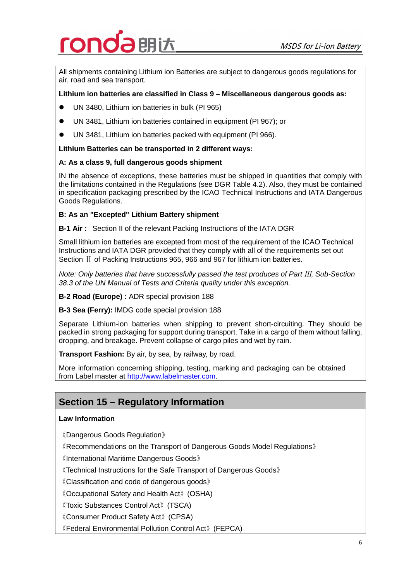# 朗认

All shipments containing Lithium ion Batteries are subject to dangerous goods regulations for air, road and sea transport.

## **Lithium ion batteries are classified in Class 9 – Miscellaneous dangerous goods as:**

- l UN 3480, Lithium ion batteries in bulk (PI 965)
- UN 3481, Lithium ion batteries contained in equipment (PI 967); or
- **•** UN 3481, Lithium ion batteries packed with equipment (PI 966).

#### **Lithium Batteries can be transported in 2 different ways:**

#### **A: As a class 9, full dangerous goods shipment**

IN the absence of exceptions, these batteries must be shipped in quantities that comply with the limitations contained in the Regulations (see DGR Table 4.2). Also, they must be contained in specification packaging prescribed by the ICAO Technical Instructions and IATA Dangerous Goods Regulations.

## **B: As an "Excepted" Lithium Battery shipment**

**B-1 Air :** Section II of the relevant Packing Instructions of the IATA DGR

Small lithium ion batteries are excepted from most of the requirement of the ICAO Technical Instructions and IATA DGR provided that they comply with all of the requirements set out Section II of Packing Instructions 965, 966 and 967 for lithium ion batteries.

*Note: Only batteries that have successfully passed the test produces of Part III, Sub-Section 38.3 of the UN Manual of Tests and Criteria quality under this exception.*

**B-2 Road (Europe) :** ADR special provision 188

**B-3 Sea (Ferry):** IMDG code special provision 188

Separate Lithium-ion batteries when shipping to prevent short-circuiting. They should be packed in strong packaging for support during transport. Take in a cargo of them without falling, dropping, and breakage. Prevent collapse of cargo piles and wet by rain.

**Transport Fashion:** By air, by sea, by railway, by road.

More information concerning shipping, testing, marking and packaging can be obtained from Label master at http://www.labelmaster.com.

## **Section 15 – Regulatory Information**

### **Law Information**

《Dangerous Goods Regulation》

《Recommendations on the Transport of Dangerous Goods Model Regulations》

《International Maritime Dangerous Goods》

《Technical Instructions for the Safe Transport of Dangerous Goods》

《Classification and code of dangerous goods》

《Occupational Safety and Health Act》(OSHA)

《Toxic Substances Control Act》(TSCA)

《Consumer Product Safety Act》(CPSA)

《Federal Environmental Pollution Control Act》(FEPCA)